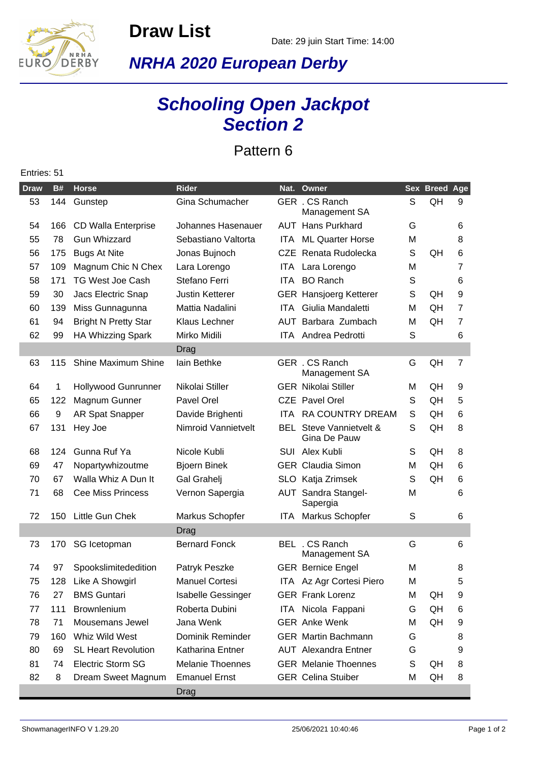**Draw List**



Entries: 51

**NRHA 2020 European Derby**

## **Schooling Open Jackpot Section 2**

Pattern 6

| <b>Draw</b> | <b>B#</b> | <b>Horse</b>                | <b>Rider</b>              | Nat.       | Owner                                          |   | Sex Breed Age |                |
|-------------|-----------|-----------------------------|---------------------------|------------|------------------------------------------------|---|---------------|----------------|
| 53          | 144       | Gunstep                     | Gina Schumacher           |            | GER . CS Ranch<br>Management SA                | S | QH            | 9              |
| 54          | 166       | <b>CD Walla Enterprise</b>  | Johannes Hasenauer        |            | <b>AUT</b> Hans Purkhard                       | G |               | 6              |
| 55          | 78        | <b>Gun Whizzard</b>         | Sebastiano Valtorta       | ITA.       | <b>ML Quarter Horse</b>                        | М |               | 8              |
| 56          | 175       | <b>Bugs At Nite</b>         | Jonas Bujnoch             |            | CZE Renata Rudolecka                           | S | QH            | 6              |
| 57          | 109       | Magnum Chic N Chex          | Lara Lorengo              | ITA.       | Lara Lorengo                                   | М |               | 7              |
| 58          | 171       | <b>TG West Joe Cash</b>     | Stefano Ferri             | ITA I      | <b>BO</b> Ranch                                | S |               | 6              |
| 59          | 30        | Jacs Electric Snap          | <b>Justin Ketterer</b>    |            | <b>GER</b> Hansjoerg Ketterer                  | S | QH            | 9              |
| 60          | 139       | Miss Gunnagunna             | Mattia Nadalini           | ITA.       | Giulia Mandaletti                              | м | QH            | $\overline{7}$ |
| 61          | 94        | <b>Bright N Pretty Star</b> | Klaus Lechner             | AUT        | Barbara Zumbach                                | м | QH            | $\overline{7}$ |
| 62          | 99        | <b>HA Whizzing Spark</b>    | Mirko Midili              | <b>ITA</b> | Andrea Pedrotti                                | S |               | 6              |
|             |           |                             | Drag                      |            |                                                |   |               |                |
| 63          | 115       | Shine Maximum Shine         | lain Bethke               |            | GER . CS Ranch<br>Management SA                | G | QH            | $\overline{7}$ |
| 64          | 1         | Hollywood Gunrunner         | Nikolai Stiller           |            | <b>GER Nikolai Stiller</b>                     | м | QH            | 9              |
| 65          | 122       | Magnum Gunner               | Pavel Orel                |            | CZE Pavel Orel                                 | S | QH            | 5              |
| 66          | 9         | AR Spat Snapper             | Davide Brighenti          | <b>ITA</b> | <b>RA COUNTRY DREAM</b>                        | S | QH            | 6              |
| 67          | 131       | Hey Joe                     | Nimroid Vannietvelt       |            | <b>BEL</b> Steve Vannietvelt &<br>Gina De Pauw | S | QH            | 8              |
| 68          | 124       | Gunna Ruf Ya                | Nicole Kubli              |            | SUI Alex Kubli                                 | S | QH            | 8              |
| 69          | 47        | Nopartywhizoutme            | <b>Bjoern Binek</b>       |            | <b>GER Claudia Simon</b>                       | М | QH            | 6              |
| 70          | 67        | Walla Whiz A Dun It         | Gal Grahelj               |            | SLO Katja Zrimsek                              | S | QH            | 6              |
| 71          | 68        | <b>Cee Miss Princess</b>    | Vernon Sapergia           |            | <b>AUT</b> Sandra Stangel-<br>Sapergia         | М |               | 6              |
| 72          | 150       | Little Gun Chek             | Markus Schopfer           | ITA.       | Markus Schopfer                                | S |               | 6              |
|             |           |                             | Drag                      |            |                                                |   |               |                |
| 73          | 170       | SG Icetopman                | <b>Bernard Fonck</b>      |            | BEL . CS Ranch<br>Management SA                | G |               | 6              |
| 74          | 97        | Spookslimitededition        | Patryk Peszke             |            | <b>GER Bernice Engel</b>                       | М |               | 8              |
| 75          | 128       | Like A Showgirl             | <b>Manuel Cortesi</b>     |            | ITA Az Agr Cortesi Piero                       | М |               | 5              |
| 76          | 27        | <b>BMS Guntari</b>          | <b>Isabelle Gessinger</b> |            | <b>GER Frank Lorenz</b>                        | M | QH            | 9              |
| 77          | 111       | Brownlenium                 | Roberta Dubini            |            | ITA Nicola Fappani                             | G | QH            | 6              |
| 78          | 71        | Mousemans Jewel             | Jana Wenk                 |            | <b>GER</b> Anke Wenk                           | м | QH            | 9              |
| 79          | 160       | Whiz Wild West              | Dominik Reminder          |            | <b>GER</b> Martin Bachmann                     | G |               | 8              |
| 80          | 69        | <b>SL Heart Revolution</b>  | Katharina Entner          |            | <b>AUT</b> Alexandra Entner                    | G |               | 9              |
| 81          | 74        | <b>Electric Storm SG</b>    | <b>Melanie Thoennes</b>   |            | <b>GER</b> Melanie Thoennes                    | S | QH            | 8              |
| 82          | 8         | Dream Sweet Magnum          | <b>Emanuel Ernst</b>      |            | <b>GER Celina Stuiber</b>                      | M | QH            | 8              |
|             |           |                             | Drag                      |            |                                                |   |               |                |